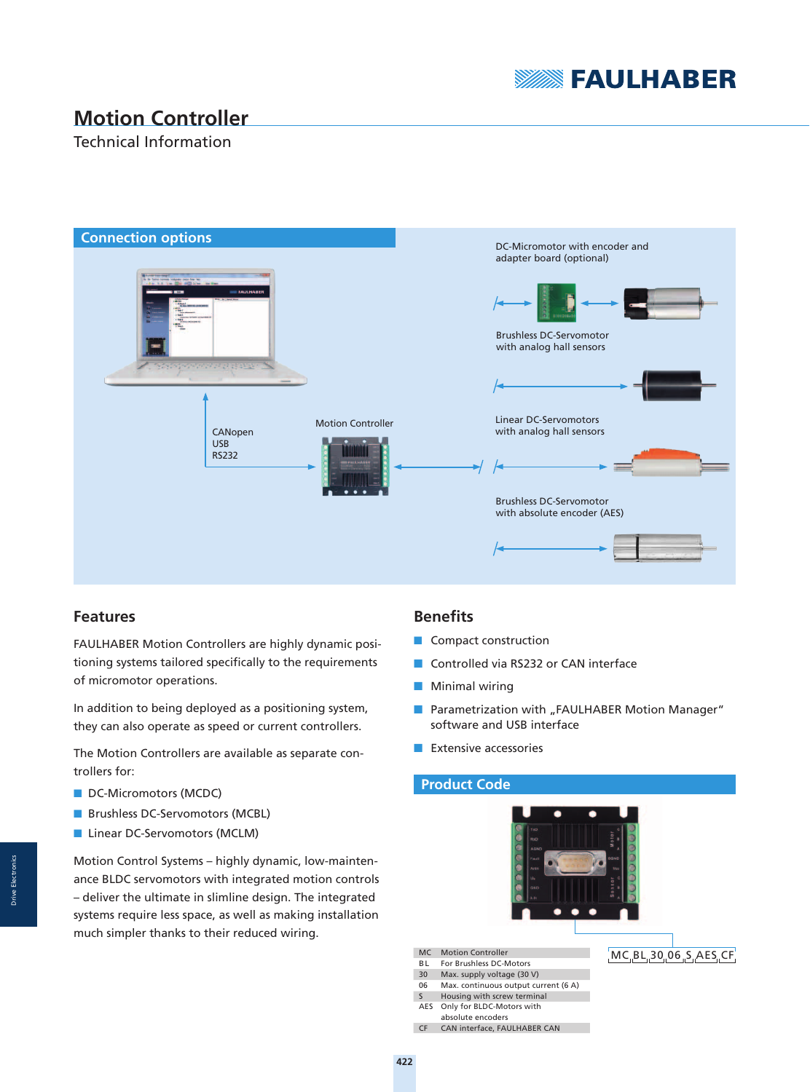

# Technical Information



# **Features**

FAULHABER Motion Controllers are highly dynamic positioning systems tailored specifically to the requirements of micromotor operations.

In addition to being deployed as a positioning system, they can also operate as speed or current controllers.

The Motion Controllers are available as separate controllers for:

- DC-Micromotors (MCDC)
- Brushless DC-Servomotors (MCBL)
- Linear DC-Servomotors (MCLM)

Motion Control Systems – highly dynamic, low-maintenance BLDC servomotors with integrated motion controls – deliver the ultimate in slimline design. The integrated systems require less space, as well as making installation much simpler thanks to their reduced wiring.

## **Benefits**

- Compact construction
- Controlled via RS232 or CAN interface
- Minimal wiring
- Parametrization with "FAULHABER Motion Manager" software and USB interface
- Extensive accessories

## **Product Code**



 $M<sub>n</sub>BC<sub>n</sub>BC<sub>n</sub>30<sub>n</sub>06<sub>n</sub>S<sub>n</sub>ABSS<sub>n</sub>CF<sub>n</sub>$ 

- MC Motion Controller
- BL For Brushless DC-Motors
- 30 Max. supply voltage (30 V) 06 Max. continuous output current (6 A)
- S Housing with screw terminal
- AES Only for BLDC-Motors with
- absolute encoders<br>CF CAN interface. FAU CAN interface, FAULHABER CAN

Drive Electronics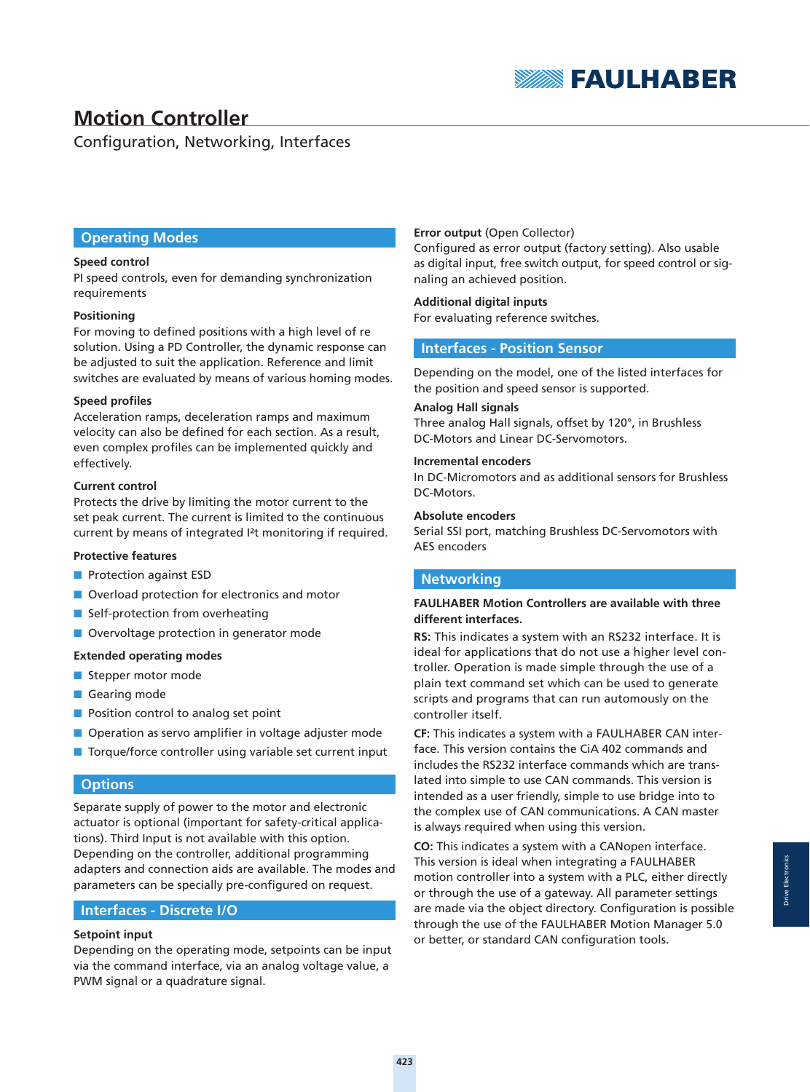

Configuration, Networking, Interfaces

## **Operating Modes**

#### **Speed control**

PI speed controls, even for demanding synchronization requirements

#### **Positioning**

For moving to defined positions with a high level of re solution. Using a PD Controller, the dynamic response can be adjusted to suit the application. Reference and limit switches are evaluated by means of various homing modes.

#### **Speed profiles**

Acceleration ramps, deceleration ramps and maximum velocity can also be defined for each section. As a result, even complex profiles can be implemented quickly and effectively.

#### **Current control**

Protects the drive by limiting the motor current to the set peak current. The current is limited to the continuous current by means of integrated I²t monitoring if required.

#### **Protective features**

- Protection against ESD
- Overload protection for electronics and motor
- Self-protection from overheating
- Overvoltage protection in generator mode

## **Extended operating modes**

- Stepper motor mode
- Gearing mode
- Position control to analog set point
- Operation as servo amplifier in voltage adjuster mode
- Torque/force controller using variable set current input

#### **Options**

Separate supply of power to the motor and electronic actuator is optional (important for safety-critical applications). Third Input is not available with this option. Depending on the controller, additional programming adapters and connection aids are available. The modes and parameters can be specially pre-configured on request.

## **Interfaces - Discrete I/O**

#### **Setpoint input**

Depending on the operating mode, setpoints can be input via the command interface, via an analog voltage value, a PWM signal or a quadrature signal.

#### **Error output** (Open Collector)

Configured as error output (factory setting). Also usable as digital input, free switch output, for speed control or signaling an achieved position.

**Additional digital inputs**

For evaluating reference switches.

## **Interfaces - Position Sensor**

Depending on the model, one of the listed interfaces for the position and speed sensor is supported.

#### **Analog Hall signals**

Three analog Hall signals, offset by 120°, in Brushless DC- Motors and Linear DC-Servomotors.

#### **Incremental encoders**

In DC-Micromotors and as additional sensors for Brushless DC-Motors.

#### **Absolute encoders**

Serial SSI port, matching Brushless DC-Servomotors with AES encoders

### **Networking**

### **FAULHABER Motion Controllers are available with three different interfaces.**

**RS:** This indicates a system with an RS232 interface. It is ideal for applications that do not use a higher level controller. Operation is made simple through the use of a plain text command set which can be used to generate scripts and programs that can run automously on the controller itself.

**CF:** This indicates a system with a FAULHABER CAN interface. This version contains the CiA 402 commands and includes the RS232 interface commands which are translated into simple to use CAN commands. This version is intended as a user friendly, simple to use bridge into to the complex use of CAN communications. A CAN master is always required when using this version.

**CO:** This indicates a system with a CANopen interface. This version is ideal when integrating a FAULHABER motion controller into a system with a PLC, either directly or through the use of a gateway. All parameter settings are made via the object directory. Configuration is possible through the use of the FAULHABER Motion Manager 5.0 or better, or standard CAN configuration tools.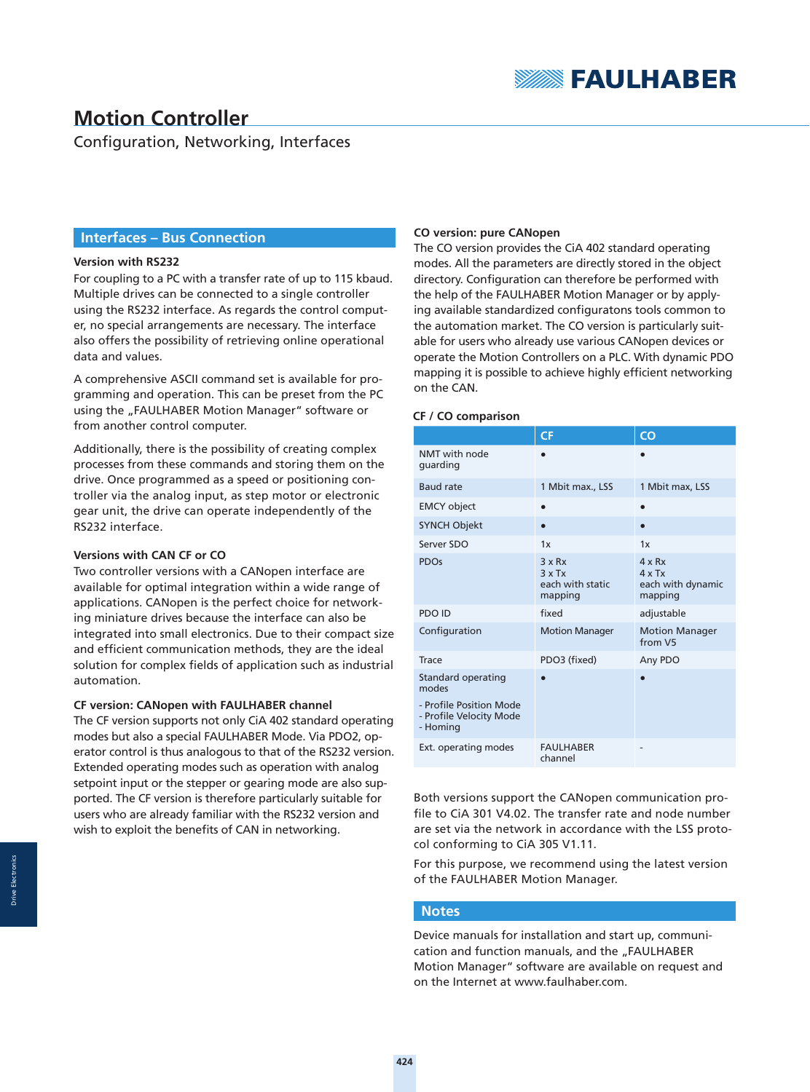

Configuration, Networking, Interfaces

## **Interfaces – Bus Connection**

### **Version with RS232**

For coupling to a PC with a transfer rate of up to 115 kbaud. Multiple drives can be connected to a single controller using the RS232 interface. As regards the control comput er, no special arrangements are necessary. The interface also offers the possibility of retrieving online operational data and values.

A comprehensive ASCII command set is available for programming and operation. This can be preset from the PC using the "FAULHABER Motion Manager" software or from another control computer.

Additionally, there is the possibility of creating complex processes from these commands and storing them on the drive. Once programmed as a speed or positioning controller via the analog input, as step motor or electronic gear unit, the drive can operate independently of the RS232 interface.

#### **Versions with CAN CF or CO**

Two controller versions with a CANopen interface are available for optimal integration within a wide range of applications. CANopen is the perfect choice for networking miniature drives because the interface can also be integrated into small electronics. Due to their compact size and efficient communication methods, they are the ideal solution for complex fields of application such as industrial automation.

#### **CF version: CANopen with FAULHABER channel**

The CF version supports not only CiA 402 standard operating modes but also a special FAULHABER Mode. Via PDO2, operator control is thus analogous to that of the RS232 version. Extended operating modes such as operation with analog setpoint input or the stepper or gearing mode are also supported. The CF version is therefore particularly suitable for users who are already familiar with the RS232 version and wish to exploit the benefits of CAN in networking.

#### **CO version: pure CANopen**

The CO version provides the CiA 402 standard operating modes. All the parameters are directly stored in the object directory. Configuration can therefore be performed with the help of the FAULHABER Motion Manager or by applying available standardized configuratons tools common to the automation market. The CO version is particularly suitable for users who already use various CANopen devices or operate the Motion Controllers on a PLC. With dynamic PDO mapping it is possible to achieve highly efficient networking on the CAN.

#### **CF / CO comparison**

|                                                                                               | <b>CF</b>                                   | CO                                                            |
|-----------------------------------------------------------------------------------------------|---------------------------------------------|---------------------------------------------------------------|
| NMT with node<br>guarding                                                                     |                                             |                                                               |
| Baud rate                                                                                     | 1 Mbit max., LSS                            | 1 Mbit max, LSS                                               |
| <b>EMCY object</b>                                                                            |                                             |                                                               |
| <b>SYNCH Objekt</b>                                                                           | $\bullet$                                   |                                                               |
| Server SDO                                                                                    | 1x                                          | 1x                                                            |
| <b>PDO<sub>S</sub></b>                                                                        | 3xRx<br>3xTx<br>each with static<br>mapping | $4 \times R$<br>$4 \times Tx$<br>each with dynamic<br>mapping |
| PDO ID                                                                                        | fixed                                       | adjustable                                                    |
| Configuration                                                                                 | <b>Motion Manager</b>                       | <b>Motion Manager</b><br>from V5                              |
| Trace                                                                                         | PDO3 (fixed)                                | Any PDO                                                       |
| Standard operating<br>modes<br>- Profile Position Mode<br>- Profile Velocity Mode<br>- Homing |                                             |                                                               |
| Ext. operating modes                                                                          | <b>FAULHABER</b><br>channel                 |                                                               |

Both versions support the CANopen communication profile to CiA 301 V4.02. The transfer rate and node number are set via the network in accordance with the LSS protocol conforming to CiA 305 V1.11.

For this purpose, we recommend using the latest version of the FAULHABER Motion Manager.

## **Notes**

Device manuals for installation and start up, communication and function manuals, and the "FAULHABER Motion Manager" software are available on request and on the Internet at www.faulhaber.com.